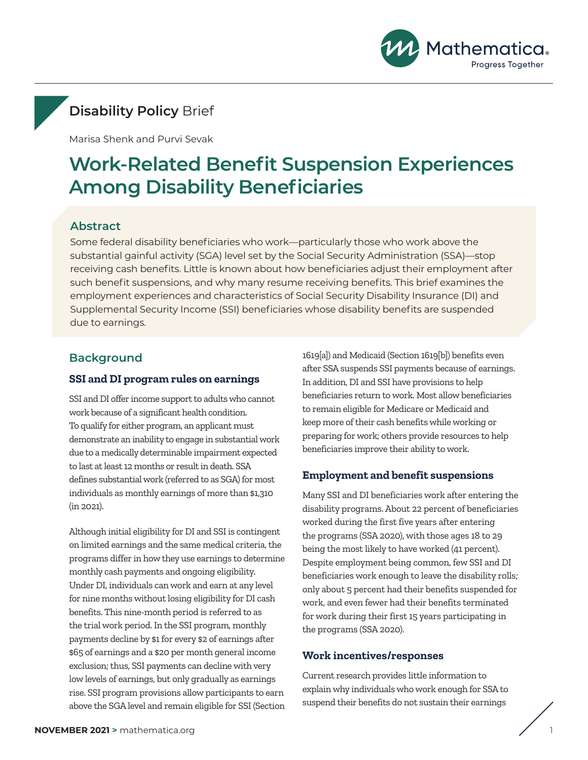

## **Disability Policy** Brief

Marisa Shenk and Purvi Sevak

# **Work-Related Benefit Suspension Experiences Among Disability Beneficiaries**

## **Abstract**

Some federal disability beneficiaries who work—particularly those who work above the substantial gainful activity (SGA) level set by the Social Security Administration (SSA)—stop receiving cash benefits. Little is known about how beneficiaries adjust their employment after such benefit suspensions, and why many resume receiving benefits. This brief examines the employment experiences and characteristics of Social Security Disability Insurance (DI) and Supplemental Security Income (SSI) beneficiaries whose disability benefits are suspended due to earnings.

## **Background**

#### **SSI and DI program rules on earnings**

SSI and DI offer income support to adults who cannot work because of a significant health condition. To qualify for either program, an applicant must demonstrate an inability to engage in substantial work due to a medically determinable impairment expected to last at least 12 months or result in death. SSA defines substantial work (referred to as SGA) for most individuals as monthly earnings of more than \$1,310 (in 2021).

Although initial eligibility for DI and SSI is contingent on limited earnings and the same medical criteria, the programs differ in how they use earnings to determine monthly cash payments and ongoing eligibility. Under DI, individuals can work and earn at any level for nine months without losing eligibility for DI cash benefits. This nine-month period is referred to as the trial work period. In the SSI program, monthly payments decline by \$1 for every \$2 of earnings after \$65 of earnings and a \$20 per month general income exclusion; thus, SSI payments can decline with very low levels of earnings, but only gradually as earnings rise. SSI program provisions allow participants to earn above the SGA level and remain eligible for SSI (Section 1619[a]) and Medicaid (Section 1619[b]) benefits even after SSA suspends SSI payments because of earnings. In addition, DI and SSI have provisions to help beneficiaries return to work. Most allow beneficiaries to remain eligible for Medicare or Medicaid and keep more of their cash benefits while working or preparing for work; others provide resources to help beneficiaries improve their ability to work.

#### **Employment and benefit suspensions**

Many SSI and DI beneficiaries work after entering the disability programs. About 22 percent of beneficiaries worked during the first five years after entering the programs (SSA 2020), with those ages 18 to 29 being the most likely to have worked (41 percent). Despite employment being common, few SSI and DI beneficiaries work enough to leave the disability rolls; only about 5 percent had their benefits suspended for work, and even fewer had their benefits terminated for work during their first 15 years participating in the programs (SSA 2020).

#### **Work incentives/responses**

Current research provides little information to explain why individuals who work enough for SSA to suspend their benefits do not sustain their earnings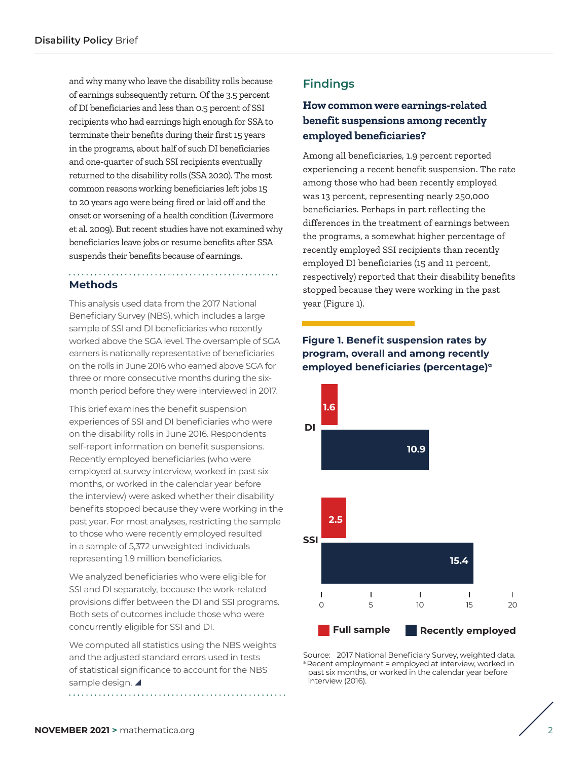and why many who leave the disability rolls because of earnings subsequently return. Of the 3.5 percent of DI beneficiaries and less than 0.5 percent of SSI recipients who had earnings high enough for SSA to terminate their benefits during their first 15 years in the programs, about half of such DI beneficiaries and one-quarter of such SSI recipients eventually returned to the disability rolls (SSA 2020). The most common reasons working beneficiaries left jobs 15 to 20 years ago were being fired or laid off and the onset or worsening of a health condition (Livermore et al. 2009). But recent studies have not examined why beneficiaries leave jobs or resume benefits after SSA suspends their benefits because of earnings.

## **Methods**

This analysis used data from the 2017 National Beneficiary Survey (NBS), which includes a large sample of SSI and DI beneficiaries who recently worked above the SGA level. The oversample of SGA earners is nationally representative of beneficiaries on the rolls in June 2016 who earned above SGA for three or more consecutive months during the sixmonth period before they were interviewed in 2017.

This brief examines the benefit suspension experiences of SSI and DI beneficiaries who were on the disability rolls in June 2016. Respondents self-report information on benefit suspensions. Recently employed beneficiaries (who were employed at survey interview, worked in past six months, or worked in the calendar year before the interview) were asked whether their disability benefits stopped because they were working in the past year. For most analyses, restricting the sample to those who were recently employed resulted in a sample of 5,372 unweighted individuals representing 1.9 million beneficiaries.

We analyzed beneficiaries who were eligible for SSI and DI separately, because the work-related provisions differ between the DI and SSI programs. Both sets of outcomes include those who were concurrently eligible for SSI and DI.

We computed all statistics using the NBS weights and the adjusted standard errors used in tests of statistical significance to account for the NBS sample design. 

## **Findings**

## **How common were earnings-related benefit suspensions among recently employed beneficiaries?**

Among all beneficiaries, 1.9 percent reported experiencing a recent benefit suspension. The rate among those who had been recently employed was 13 percent, representing nearly 250,000 beneficiaries. Perhaps in part reflecting the differences in the treatment of earnings between the programs, a somewhat higher percentage of recently employed SSI recipients than recently employed DI beneficiaries (15 and 11 percent, respectively) reported that their disability benefits stopped because they were working in the past year (Figure 1).

## **Figure 1. Benefit suspension rates by program, overall and among recently employed beneficiaries (percentage)a**



Source: 2017 National Beneficiary Survey, weighted data. a Recent employment = employed at interview, worked in past six months, or worked in the calendar year before interview (2016).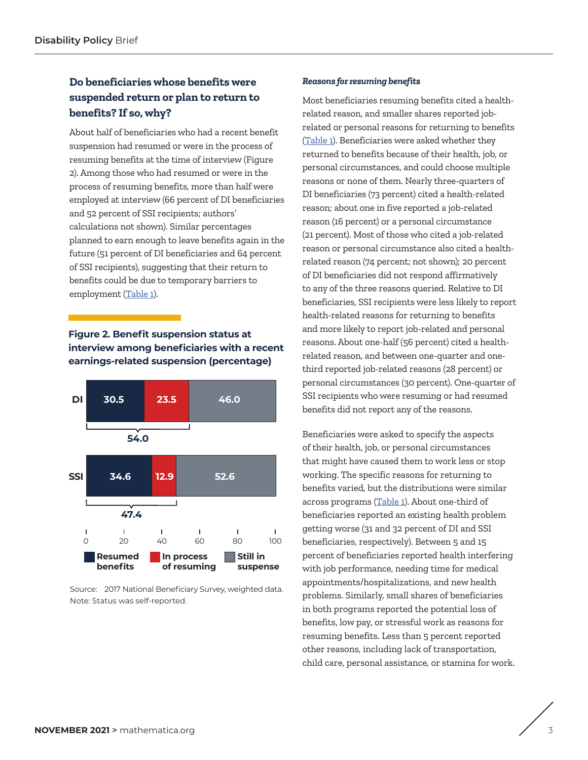## **Do beneficiaries whose benefits were suspended return or plan to return to benefits? If so, why?**

About half of beneficiaries who had a recent benefit suspension had resumed or were in the process of resuming benefits at the time of interview (Figure 2). Among those who had resumed or were in the process of resuming benefits, more than half were employed at interview (66 percent of DI beneficiaries and 52 percent of SSI recipients; authors' calculations not shown). Similar percentages planned to earn enough to leave benefits again in the future (51 percent of DI beneficiaries and 64 percent of SSI recipients), suggesting that their return to benefits could be due to temporary barriers to employment [\(Table 1](#page-3-0)).

## **Figure 2. Benefit suspension status at interview among beneficiaries with a recent earnings-related suspension (percentage)**



Source: 2017 National Beneficiary Survey, weighted data. Note: Status was self-reported.

#### *Reasons for resuming benefits*

Most beneficiaries resuming benefits cited a healthrelated reason, and smaller shares reported jobrelated or personal reasons for returning to benefits ([Table 1\)](#page-3-0). Beneficiaries were asked whether they returned to benefits because of their health, job, or personal circumstances, and could choose multiple reasons or none of them. Nearly three-quarters of DI beneficiaries (73 percent) cited a health-related reason; about one in five reported a job-related reason (16 percent) or a personal circumstance (21 percent). Most of those who cited a job-related reason or personal circumstance also cited a healthrelated reason (74 percent; not shown); 20 percent of DI beneficiaries did not respond affirmatively to any of the three reasons queried. Relative to DI beneficiaries, SSI recipients were less likely to report health-related reasons for returning to benefits and more likely to report job-related and personal reasons. About one-half (56 percent) cited a healthrelated reason, and between one-quarter and onethird reported job-related reasons (28 percent) or personal circumstances (30 percent). One-quarter of SSI recipients who were resuming or had resumed benefits did not report any of the reasons.

Beneficiaries were asked to specify the aspects of their health, job, or personal circumstances that might have caused them to work less or stop working. The specific reasons for returning to benefits varied, but the distributions were similar across programs [\(Table 1\)](#page-3-0). About one-third of beneficiaries reported an existing health problem getting worse (31 and 32 percent of DI and SSI beneficiaries, respectively). Between 5 and 15 percent of beneficiaries reported health interfering with job performance, needing time for medical appointments/hospitalizations, and new health problems. Similarly, small shares of beneficiaries in both programs reported the potential loss of benefits, low pay, or stressful work as reasons for resuming benefits. Less than 5 percent reported other reasons, including lack of transportation, child care, personal assistance, or stamina for work.

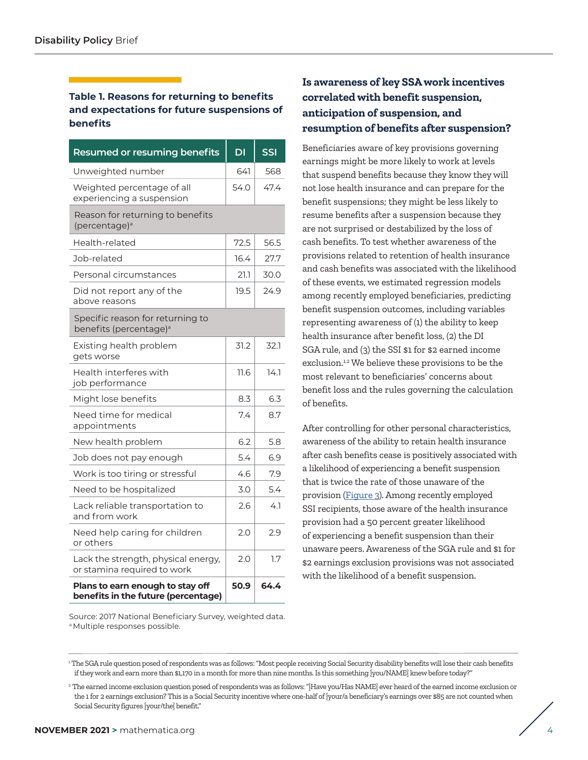### <span id="page-3-0"></span>**Table 1. Reasons for returning to benefits and expectations for future suspensions of benefits**

| <b>Resumed or resuming benefits</b>                                     | DI   | <b>SSI</b> |
|-------------------------------------------------------------------------|------|------------|
| Unweighted number                                                       | 641  | 568        |
| Weighted percentage of all<br>experiencing a suspension                 | 54.0 | 47.4       |
| Reason for returning to benefits<br>(percentage) <sup>a</sup>           |      |            |
| Health-related                                                          | 72.5 | 56.5       |
| Job-related                                                             | 16.4 | 27.7       |
| Personal circumstances                                                  | 21.1 | 30.0       |
| Did not report any of the<br>above reasons                              | 19.5 | 24.9       |
| Specific reason for returning to<br>benefits (percentage) <sup>a</sup>  |      |            |
| Existing health problem<br>gets worse                                   | 31.2 | 32.1       |
| Health interferes with<br>job performance                               | 11.6 | 14.1       |
| Might lose benefits                                                     | 8.3  | 6.3        |
| Need time for medical<br>appointments                                   | 7.4  | 8.7        |
| New health problem                                                      | 6.2  | 5.8        |
| Job does not pay enough                                                 | 5.4  | 6.9        |
| Work is too tiring or stressful                                         | 4.6  | 7.9        |
| Need to be hospitalized                                                 | 3.0  | 5.4        |
| Lack reliable transportation to<br>and from work                        | 2.6  | 4.1        |
| Need help caring for children<br>or others                              | 2.0  | 2.9        |
| Lack the strength, physical energy,<br>or stamina required to work      | 2.0  | 1.7        |
| Plans to earn enough to stay off<br>benefits in the future (percentage) | 50.9 | 64.4       |

## **Is awareness of key SSA work incentives correlated with benefit suspension, anticipation of suspension, and resumption of benefits after suspension?**

Beneficiaries aware of key provisions governing earnings might be more likely to work at levels that suspend benefits because they know they will not lose health insurance and can prepare for the benefit suspensions; they might be less likely to resume benefits after a suspension because they are not surprised or destabilized by the loss of cash benefits. To test whether awareness of the provisions related to retention of health insurance and cash benefits was associated with the likelihood of these events, we estimated regression models among recently employed beneficiaries, predicting benefit suspension outcomes, including variables representing awareness of (1) the ability to keep health insurance after benefit loss, (2) the DI SGA rule, and (3) the SSI \$1 for \$2 earned income exclusion.<sup>1,2</sup> We believe these provisions to be the most relevant to beneficiaries' concerns about benefit loss and the rules governing the calculation of benefits.

After controlling for other personal characteristics, awareness of the ability to retain health insurance after cash benefits cease is positively associated with a likelihood of experiencing a benefit suspension that is twice the rate of those unaware of the provision [\(Figure 3\)](#page-4-0). Among recently employed SSI recipients, those aware of the health insurance provision had a 50 percent greater likelihood of experiencing a benefit suspension than their unaware peers. Awareness of the SGA rule and \$1 for \$2 earnings exclusion provisions was not associated with the likelihood of a benefit suspension.

Source: 2017 National Beneficiary Survey, weighted data. a Multiple responses possible.

1 The SGA rule question posed of respondents was as follows: "Most people receiving Social Security disability benefits will lose their cash benefits if they work and earn more than \$1,170 in a month for more than nine months. Is this something {you/NAME} knew before today?"

<sup>2</sup> The earned income exclusion question posed of respondents was as follows: "{Have you/Has NAME} ever heard of the earned income exclusion or the 1 for 2 earnings exclusion? This is a Social Security incentive where one-half of {your/a beneficiary's earnings over \$85 are not counted when Social Security figures {your/the} benefit."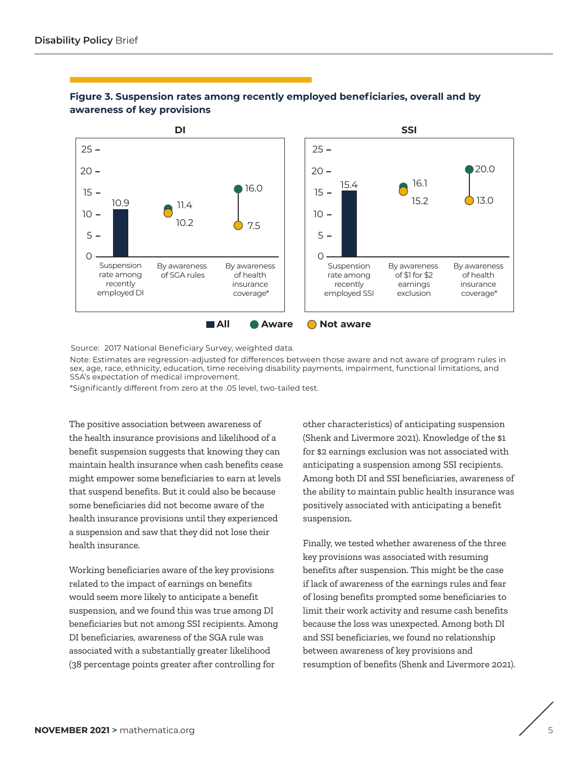

### <span id="page-4-0"></span>**Figure 3. Suspension rates among recently employed beneficiaries, overall and by awareness of key provisions**

Source: 2017 National Beneficiary Survey, weighted data.

Note: Estimates are regression-adjusted for differences between those aware and not aware of program rules in sex, age, race, ethnicity, education, time receiving disability payments, impairment, functional limitations, and SSA's expectation of medical improvement.

\*Significantly different from zero at the .05 level, two-tailed test.

The positive association between awareness of the health insurance provisions and likelihood of a benefit suspension suggests that knowing they can maintain health insurance when cash benefits cease might empower some beneficiaries to earn at levels that suspend benefits. But it could also be because some beneficiaries did not become aware of the health insurance provisions until they experienced a suspension and saw that they did not lose their health insurance.

Working beneficiaries aware of the key provisions related to the impact of earnings on benefits would seem more likely to anticipate a benefit suspension, and we found this was true among DI beneficiaries but not among SSI recipients. Among DI beneficiaries, awareness of the SGA rule was associated with a substantially greater likelihood (38 percentage points greater after controlling for

other characteristics) of anticipating suspension (Shenk and Livermore 2021). Knowledge of the \$1 for \$2 earnings exclusion was not associated with anticipating a suspension among SSI recipients. Among both DI and SSI beneficiaries, awareness of the ability to maintain public health insurance was positively associated with anticipating a benefit suspension.

Finally, we tested whether awareness of the three key provisions was associated with resuming benefits after suspension. This might be the case if lack of awareness of the earnings rules and fear of losing benefits prompted some beneficiaries to limit their work activity and resume cash benefits because the loss was unexpected. Among both DI and SSI beneficiaries, we found no relationship between awareness of key provisions and resumption of benefits (Shenk and Livermore 2021).